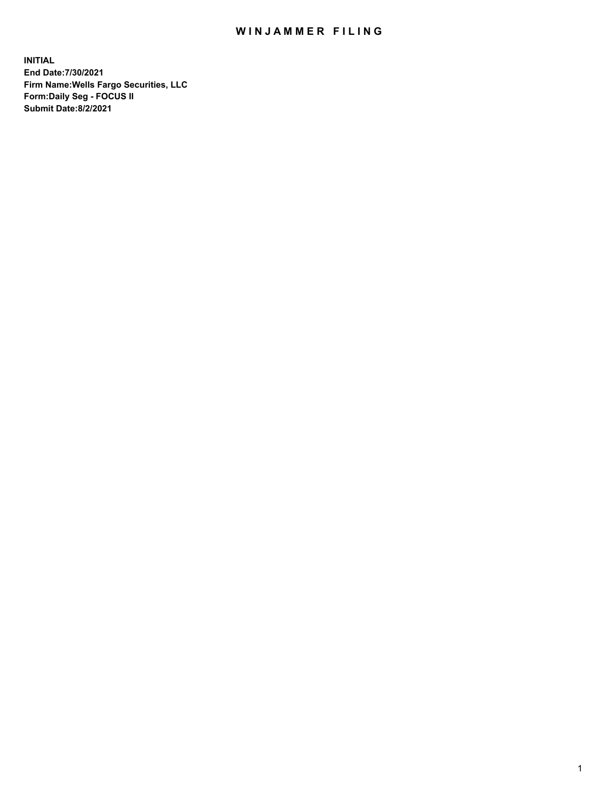## WIN JAMMER FILING

**INITIAL End Date:7/30/2021 Firm Name:Wells Fargo Securities, LLC Form:Daily Seg - FOCUS II Submit Date:8/2/2021**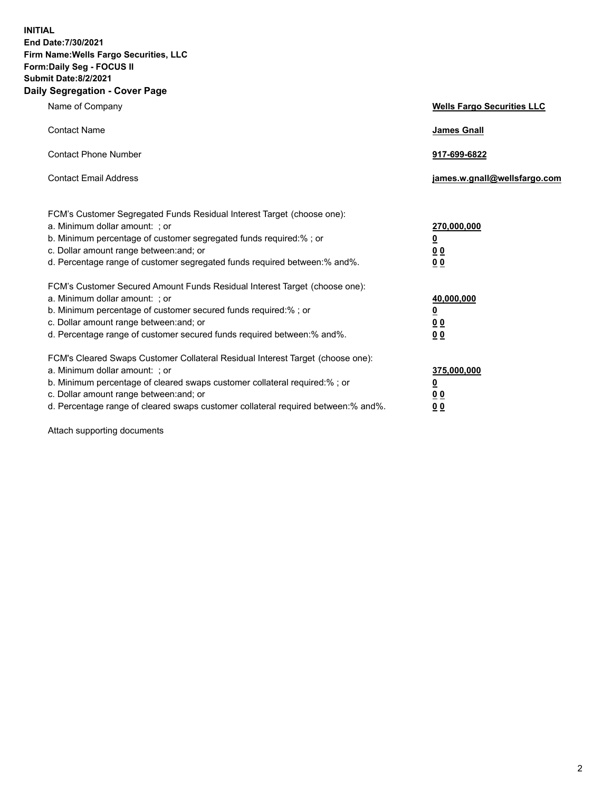**INITIAL End Date:7/30/2021 Firm Name:Wells Fargo Securities, LLC Form:Daily Seg - FOCUS II Submit Date:8/2/2021 Daily Segregation - Cover Page**

| Name of Company                                                                                                       | <b>Wells Fargo Securities LLC</b> |
|-----------------------------------------------------------------------------------------------------------------------|-----------------------------------|
| <b>Contact Name</b>                                                                                                   | <b>James Gnall</b>                |
|                                                                                                                       |                                   |
| <b>Contact Phone Number</b>                                                                                           | 917-699-6822                      |
| <b>Contact Email Address</b>                                                                                          | james.w.gnall@wellsfargo.com      |
|                                                                                                                       |                                   |
| FCM's Customer Segregated Funds Residual Interest Target (choose one):                                                |                                   |
| a. Minimum dollar amount: ; or                                                                                        | 270,000,000                       |
| b. Minimum percentage of customer segregated funds required:% ; or                                                    | <u>0</u>                          |
| c. Dollar amount range between: and; or                                                                               | 00                                |
| d. Percentage range of customer segregated funds required between:% and%.                                             | 0 <sub>0</sub>                    |
|                                                                                                                       |                                   |
| FCM's Customer Secured Amount Funds Residual Interest Target (choose one):<br>a. Minimum dollar amount: ; or          | 40,000,000                        |
| b. Minimum percentage of customer secured funds required:%; or                                                        | <u>0</u>                          |
| c. Dollar amount range between: and; or                                                                               | 00                                |
| d. Percentage range of customer secured funds required between: % and %.                                              | 0 <sub>0</sub>                    |
|                                                                                                                       |                                   |
| FCM's Cleared Swaps Customer Collateral Residual Interest Target (choose one):                                        |                                   |
| a. Minimum dollar amount: ; or                                                                                        | 375,000,000                       |
| b. Minimum percentage of cleared swaps customer collateral required:% ; or<br>c. Dollar amount range between: and; or | <u>0</u>                          |
| d. Percentage range of cleared swaps customer collateral required between:% and%.                                     | <u>00</u>                         |
|                                                                                                                       | 00                                |

Attach supporting documents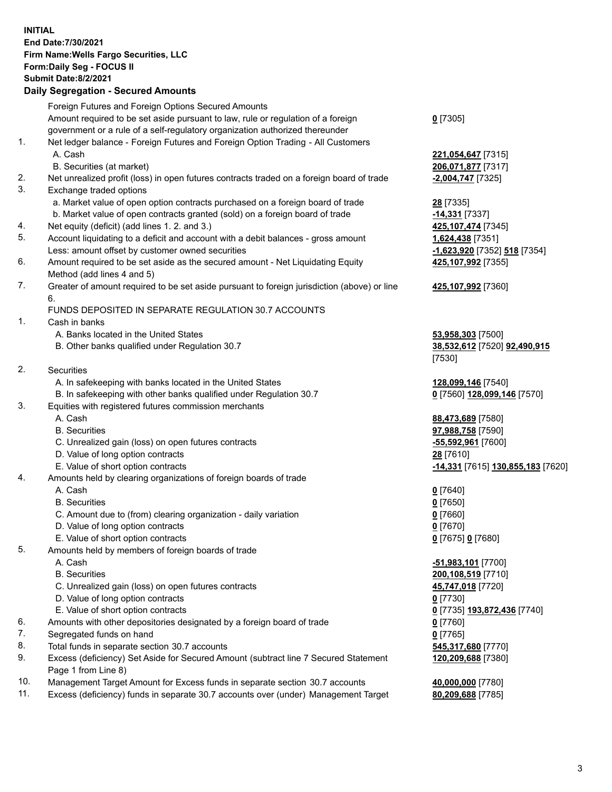**INITIAL End Date:7/30/2021 Firm Name:Wells Fargo Securities, LLC Form:Daily Seg - FOCUS II Submit Date:8/2/2021 Daily Segregation - Secured Amounts** Foreign Futures and Foreign Options Secured Amounts Amount required to be set aside pursuant to law, rule or regulation of a foreign government or a rule of a self-regulatory organization authorized thereunder **0** [7305] 1. Net ledger balance - Foreign Futures and Foreign Option Trading - All Customers A. Cash **221,054,647** [7315] B. Securities (at market) **206,071,877** [7317] 2. Net unrealized profit (loss) in open futures contracts traded on a foreign board of trade **-2,004,747** [7325] 3. Exchange traded options a. Market value of open option contracts purchased on a foreign board of trade **28** [7335] b. Market value of open contracts granted (sold) on a foreign board of trade **-14,331** [7337] 4. Net equity (deficit) (add lines 1. 2. and 3.) **425,107,474** [7345] 5. Account liquidating to a deficit and account with a debit balances - gross amount **1,624,438** [7351] Less: amount offset by customer owned securities **-1,623,920** [7352] **518** [7354] 6. Amount required to be set aside as the secured amount - Net Liquidating Equity Method (add lines 4 and 5) **425,107,992** [7355] 7. Greater of amount required to be set aside pursuant to foreign jurisdiction (above) or line 6. **425,107,992** [7360] FUNDS DEPOSITED IN SEPARATE REGULATION 30.7 ACCOUNTS 1. Cash in banks A. Banks located in the United States **53,958,303** [7500] B. Other banks qualified under Regulation 30.7 **38,532,612** [7520] **92,490,915** [7530] 2. Securities A. In safekeeping with banks located in the United States **128,099,146** [7540] B. In safekeeping with other banks qualified under Regulation 30.7 **0** [7560] **128,099,146** [7570] 3. Equities with registered futures commission merchants A. Cash **88,473,689** [7580] B. Securities **97,988,758** [7590] C. Unrealized gain (loss) on open futures contracts **-55,592,961** [7600] D. Value of long option contracts **28** [7610] E. Value of short option contracts **-14,331** [7615] **130,855,183** [7620] 4. Amounts held by clearing organizations of foreign boards of trade A. Cash **0** [7640] B. Securities **0** [7650] C. Amount due to (from) clearing organization - daily variation **0** [7660] D. Value of long option contracts **0** [7670] E. Value of short option contracts **0** [7675] **0** [7680] 5. Amounts held by members of foreign boards of trade A. Cash **-51,983,101** [7700] B. Securities **200,108,519** [7710] C. Unrealized gain (loss) on open futures contracts **45,747,018** [7720] D. Value of long option contracts **0** [7730] E. Value of short option contracts **0** [7735] **193,872,436** [7740]

6. Amounts with other depositories designated by a foreign board of trade **0** [7760]

- 7. Segregated funds on hand **0** [7765]
- 8. Total funds in separate section 30.7 accounts **545,317,680** [7770]
- 9. Excess (deficiency) Set Aside for Secured Amount (subtract line 7 Secured Statement Page 1 from Line 8)
- 10. Management Target Amount for Excess funds in separate section 30.7 accounts **40,000,000** [7780]
- 11. Excess (deficiency) funds in separate 30.7 accounts over (under) Management Target **80,209,688** [7785]

3

**120,209,688** [7380]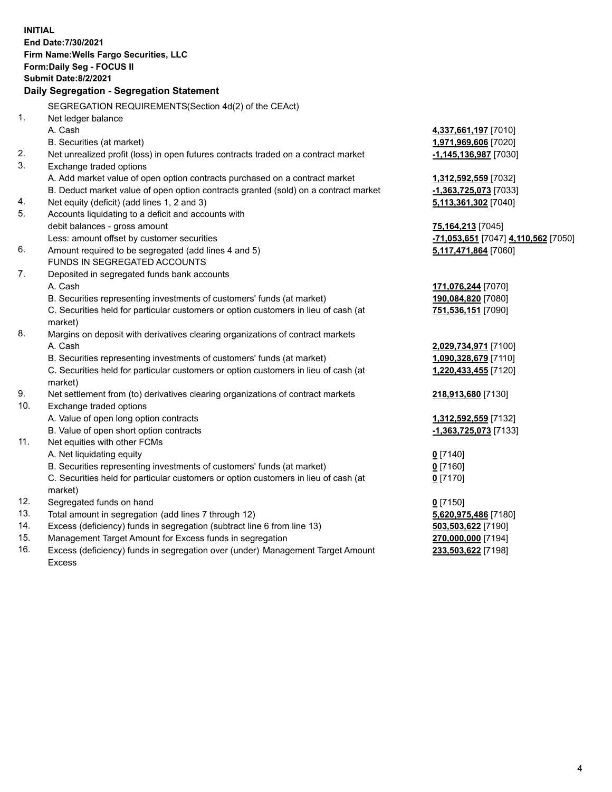|     | <b>INITIAL</b><br>End Date: 7/30/2021<br>Firm Name: Wells Fargo Securities, LLC<br>Form: Daily Seg - FOCUS II<br><b>Submit Date:8/2/2021</b><br>Daily Segregation - Segregation Statement |                                                  |
|-----|-------------------------------------------------------------------------------------------------------------------------------------------------------------------------------------------|--------------------------------------------------|
|     | SEGREGATION REQUIREMENTS(Section 4d(2) of the CEAct)                                                                                                                                      |                                                  |
| 1.  | Net ledger balance                                                                                                                                                                        |                                                  |
|     | A. Cash                                                                                                                                                                                   | 4,337,661,197 <sub>[7010]</sub>                  |
|     | B. Securities (at market)                                                                                                                                                                 | 1,971,969,606 [7020]                             |
| 2.  | Net unrealized profit (loss) in open futures contracts traded on a contract market                                                                                                        | -1,145,136,987 [7030]                            |
| 3.  | Exchange traded options                                                                                                                                                                   |                                                  |
|     | A. Add market value of open option contracts purchased on a contract market                                                                                                               | 1,312,592,559 [7032]                             |
|     | B. Deduct market value of open option contracts granted (sold) on a contract market                                                                                                       | -1,363,725,073 [7033]                            |
| 4.  | Net equity (deficit) (add lines 1, 2 and 3)                                                                                                                                               | 5,113,361,302 [7040]                             |
| 5.  | Accounts liquidating to a deficit and accounts with                                                                                                                                       |                                                  |
|     | debit balances - gross amount                                                                                                                                                             | 75,164,213 [7045]                                |
|     | Less: amount offset by customer securities                                                                                                                                                | <mark>-71,053,651</mark> [7047] 4,110,562 [7050] |
| 6.  | Amount required to be segregated (add lines 4 and 5)                                                                                                                                      | 5,117,471,864 [7060]                             |
|     | FUNDS IN SEGREGATED ACCOUNTS                                                                                                                                                              |                                                  |
| 7.  | Deposited in segregated funds bank accounts                                                                                                                                               |                                                  |
|     | A. Cash                                                                                                                                                                                   | 171,076,244 [7070]                               |
|     | B. Securities representing investments of customers' funds (at market)                                                                                                                    | 190,084,820 [7080]                               |
|     | C. Securities held for particular customers or option customers in lieu of cash (at<br>market)                                                                                            | 751,536,151 [7090]                               |
| 8.  | Margins on deposit with derivatives clearing organizations of contract markets                                                                                                            |                                                  |
|     | A. Cash                                                                                                                                                                                   | 2,029,734,971 [7100]                             |
|     | B. Securities representing investments of customers' funds (at market)                                                                                                                    | 1,090,328,679 [7110]                             |
|     | C. Securities held for particular customers or option customers in lieu of cash (at<br>market)                                                                                            | 1,220,433,455 [7120]                             |
| 9.  | Net settlement from (to) derivatives clearing organizations of contract markets                                                                                                           | 218,913,680 [7130]                               |
| 10. | Exchange traded options                                                                                                                                                                   |                                                  |
|     | A. Value of open long option contracts                                                                                                                                                    | 1,312,592,559 [7132]                             |
|     | B. Value of open short option contracts                                                                                                                                                   | -1,363,725,073 [7133]                            |
| 11. | Net equities with other FCMs                                                                                                                                                              |                                                  |
|     | A. Net liquidating equity                                                                                                                                                                 | $0$ [7140]                                       |
|     | B. Securities representing investments of customers' funds (at market)                                                                                                                    | $0$ [7160]                                       |
|     | C. Securities held for particular customers or option customers in lieu of cash (at<br>market)                                                                                            | $0$ [7170]                                       |
| 12. | Segregated funds on hand                                                                                                                                                                  | $0$ [7150]                                       |
| 13. | Total amount in segregation (add lines 7 through 12)                                                                                                                                      | 5,620,975,486 [7180]                             |
| 14. | Excess (deficiency) funds in segregation (subtract line 6 from line 13)                                                                                                                   | 503,503,622 [7190]                               |
| 15. | Management Target Amount for Excess funds in segregation                                                                                                                                  | 270,000,000 [7194]                               |
| 16. | Excess (deficiency) funds in segregation over (under) Management Target Amount<br><b>Excess</b>                                                                                           | 233,503,622 [7198]                               |